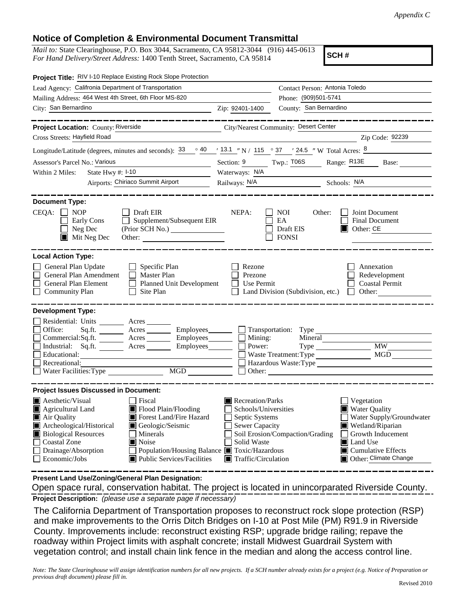## **Notice of Completion & Environmental Document Transmittal**

*Mail to:* State Clearinghouse, P.O. Box 3044, Sacramento, CA 95812-3044 (916) 445-0613 *For Hand Delivery/Street Address:* 1400 Tenth Street, Sacramento, CA 95814

**SCH #**

| Project Title: RIV I-10 Replace Existing Rock Slope Protection                                                                                                                                                                                                                                                                                                                         |                                                                                                                                                                                                                                                                                                                            |  |
|----------------------------------------------------------------------------------------------------------------------------------------------------------------------------------------------------------------------------------------------------------------------------------------------------------------------------------------------------------------------------------------|----------------------------------------------------------------------------------------------------------------------------------------------------------------------------------------------------------------------------------------------------------------------------------------------------------------------------|--|
| Lead Agency: Califronia Department of Transportation                                                                                                                                                                                                                                                                                                                                   | Contact Person: Antonia Toledo                                                                                                                                                                                                                                                                                             |  |
| Mailing Address: 464 West 4th Street, 6th Floor MS-820                                                                                                                                                                                                                                                                                                                                 | Phone: (909)501-5741                                                                                                                                                                                                                                                                                                       |  |
| City: San Bernardino                                                                                                                                                                                                                                                                                                                                                                   | County: San Bernardino<br>Zip: 92401-1400                                                                                                                                                                                                                                                                                  |  |
| Project Location: County: Riverside                                                                                                                                                                                                                                                                                                                                                    | City/Nearest Community: Desert Center                                                                                                                                                                                                                                                                                      |  |
| Cross Streets: Hayfield Road                                                                                                                                                                                                                                                                                                                                                           | Zip Code: 92239                                                                                                                                                                                                                                                                                                            |  |
| $\circ$ 40<br>Longitude/Latitude (degrees, minutes and seconds): 33                                                                                                                                                                                                                                                                                                                    | $\frac{13.1}{13.1}$ " N / 115 ° 37 ′ 24.5 ″ W Total Acres: $\frac{8}{13.1}$                                                                                                                                                                                                                                                |  |
| Assessor's Parcel No.: Various                                                                                                                                                                                                                                                                                                                                                         | Section: 9 Twp.: T06S Range: R13E<br>Base:                                                                                                                                                                                                                                                                                 |  |
| State Hwy $\#$ : $\textsf{I-10}$<br>Within 2 Miles:                                                                                                                                                                                                                                                                                                                                    | Waterways: N/A                                                                                                                                                                                                                                                                                                             |  |
| Airports: Chiriaco Summit Airport                                                                                                                                                                                                                                                                                                                                                      | Railways: N/A<br>Schools: N/A                                                                                                                                                                                                                                                                                              |  |
|                                                                                                                                                                                                                                                                                                                                                                                        |                                                                                                                                                                                                                                                                                                                            |  |
| <b>Document Type:</b><br>$CEQA: \Box NP$<br>$\Box$ Draft EIR<br>$\Box$ Supplement/Subsequent EIR<br>Early Cons<br>$\Box$ Neg Dec<br>Mit Neg Dec                                                                                                                                                                                                                                        | NEPA:<br><b>NOI</b><br>Other:<br>Joint Document<br>EA<br><b>Final Document</b><br>Draft EIS<br>$\Box$ Other: CE<br><b>FONSI</b>                                                                                                                                                                                            |  |
| <b>Local Action Type:</b><br>$\Box$ Specific Plan<br>General Plan Update<br>General Plan Amendment<br>Master Plan<br>П<br>General Plan Element<br>Planned Unit Development<br>Site Plan<br><b>Community Plan</b>                                                                                                                                                                       | Rezone<br>Annexation<br>Redevelopment<br>Prezone<br>Use Permit<br><b>Coastal Permit</b><br>Land Division (Subdivision, etc.) $\Box$ Other:                                                                                                                                                                                 |  |
| <b>Development Type:</b><br>Residential: Units ________ Acres ______<br>Sq.ft. ________ Acres __________ Employees________ __ Transportation: Type<br>Office:<br>Commercial:Sq.ft. ________ Acres _________ Employees ________ $\Box$ Mining:<br>Industrial: Sq.ft. Acres Employees<br>Educational:<br>Recreational:<br>Water Facilities: Type<br>MGD NGD                              | <b>MW</b><br>Power:<br>MGD<br>Waste Treatment: Type<br>Hazardous Waste:Type                                                                                                                                                                                                                                                |  |
| <b>Project Issues Discussed in Document:</b><br>Aesthetic/Visual<br>Fiscal<br>Flood Plain/Flooding<br>$\blacksquare$ Agricultural Land<br>Air Quality<br>Forest Land/Fire Hazard<br>Archeological/Historical<br>Geologic/Seismic<br><b>Biological Resources</b><br>  Minerals<br><b>Coastal Zone</b><br>■ Noise<br>Drainage/Absorption<br>Population/Housing Balance ■ Toxic/Hazardous | Recreation/Parks<br>$\Box$ Vegetation<br>Schools/Universities<br><b>Water Quality</b><br>Water Supply/Groundwater<br>Septic Systems<br>$\blacksquare$<br><b>Sewer Capacity</b><br>Wetland/Riparian<br>Soil Erosion/Compaction/Grading<br>Growth Inducement<br>Solid Waste<br>Land Use<br>$\blacksquare$ Cumulative Effects |  |
| Economic/Jobs<br>■ Public Services/Facilities                                                                                                                                                                                                                                                                                                                                          | Other: Climate Change<br>$\blacksquare$ Traffic/Circulation                                                                                                                                                                                                                                                                |  |

**Present Land Use/Zoning/General Plan Designation:**

**Project Description:** *(please use a separate page if necessary)* Open space rural, conservation habitat. The project is located in unincorparated Riverside County.

 The California Department of Transportation proposes to reconstruct rock slope protection (RSP) and make improvements to the Orris Ditch Bridges on I-10 at Post Mile (PM) R91.9 in Riverside County. Improvements include: reconstruct existing RSP; upgrade bridge railing; repave the roadway within Project limits with asphalt concrete; install Midwest Guardrail System with vegetation control; and install chain link fence in the median and along the access control line.

*Note: The State Clearinghouse will assign identification numbers for all new projects. If a SCH number already exists for a project (e.g. Notice of Preparation or previous draft document) please fill in.*